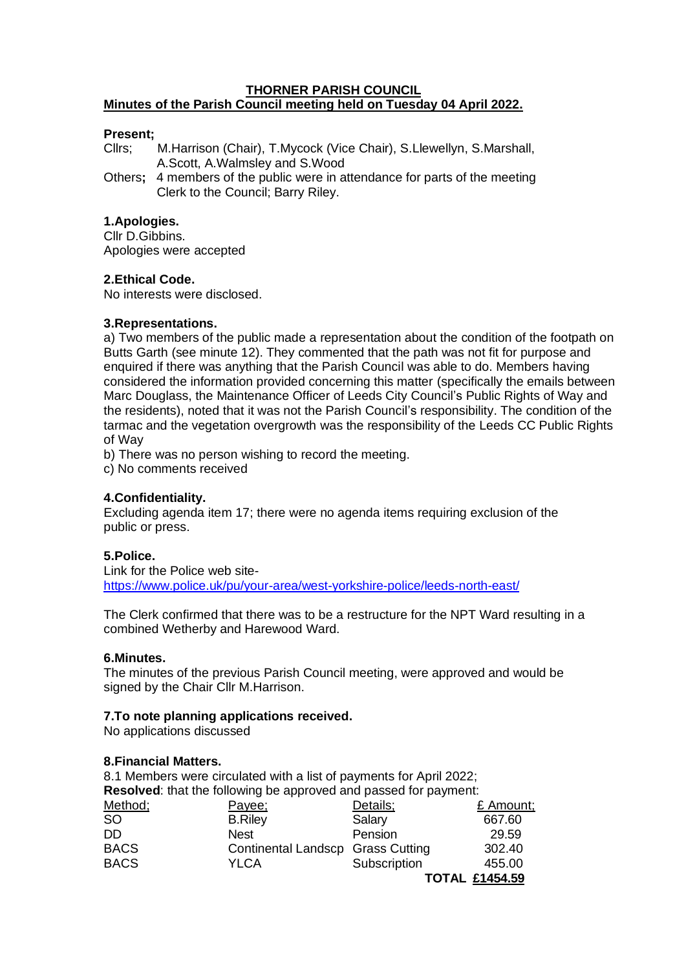#### **THORNER PARISH COUNCIL Minutes of the Parish Council meeting held on Tuesday 04 April 2022.**

## **Present;**

Cllrs; M.Harrison (Chair), T.Mycock (Vice Chair), S.Llewellyn, S.Marshall, A.Scott, A.Walmsley and S.Wood

Others**;** 4 members of the public were in attendance for parts of the meeting Clerk to the Council; Barry Riley.

## **1.Apologies.**

Cllr D.Gibbins. Apologies were accepted

## **2.Ethical Code.**

No interests were disclosed.

## **3.Representations.**

a) Two members of the public made a representation about the condition of the footpath on Butts Garth (see minute 12). They commented that the path was not fit for purpose and enquired if there was anything that the Parish Council was able to do. Members having considered the information provided concerning this matter (specifically the emails between Marc Douglass, the Maintenance Officer of Leeds City Council's Public Rights of Way and the residents), noted that it was not the Parish Council's responsibility. The condition of the tarmac and the vegetation overgrowth was the responsibility of the Leeds CC Public Rights of Way

b) There was no person wishing to record the meeting.

c) No comments received

# **4.Confidentiality.**

Excluding agenda item 17; there were no agenda items requiring exclusion of the public or press.

# **5.Police.**

Link for the Police web site<https://www.police.uk/pu/your-area/west-yorkshire-police/leeds-north-east/>

The Clerk confirmed that there was to be a restructure for the NPT Ward resulting in a combined Wetherby and Harewood Ward.

#### **6.Minutes.**

The minutes of the previous Parish Council meeting, were approved and would be signed by the Chair Cllr M.Harrison.

#### **7.To note planning applications received.**

No applications discussed

#### **8.Financial Matters.**

8.1 Members were circulated with a list of payments for April 2022; **Resolved**: that the following be approved and passed for payment: Method; Payee; Details; E Amount; CO B. Riley Salary 667.60 SO B.Riley Salary 667.60 DD Nest Pension 29.59 BACS Continental Landscp Grass Cutting 302.40 BACS YLCA Subscription 455.00 **TOTAL £1454.59**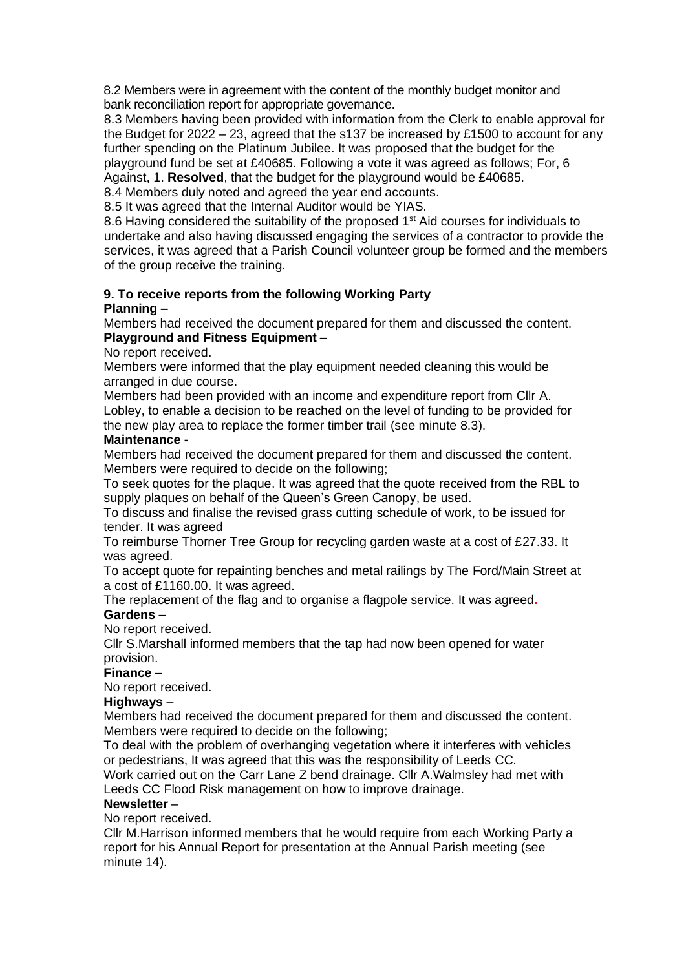8.2 Members were in agreement with the content of the monthly budget monitor and bank reconciliation report for appropriate governance.

8.3 Members having been provided with information from the Clerk to enable approval for the Budget for  $2022 - 23$ , agreed that the s137 be increased by £1500 to account for any further spending on the Platinum Jubilee. It was proposed that the budget for the playground fund be set at £40685. Following a vote it was agreed as follows; For, 6 Against, 1. **Resolved**, that the budget for the playground would be £40685.

8.4 Members duly noted and agreed the year end accounts.

8.5 It was agreed that the Internal Auditor would be YIAS.

8.6 Having considered the suitability of the proposed 1<sup>st</sup> Aid courses for individuals to undertake and also having discussed engaging the services of a contractor to provide the services, it was agreed that a Parish Council volunteer group be formed and the members of the group receive the training.

#### **9. To receive reports from the following Working Party Planning –**

Members had received the document prepared for them and discussed the content. **Playground and Fitness Equipment –** 

No report received.

Members were informed that the play equipment needed cleaning this would be arranged in due course.

Members had been provided with an income and expenditure report from Cllr A. Lobley, to enable a decision to be reached on the level of funding to be provided for the new play area to replace the former timber trail (see minute 8.3).

## **Maintenance -**

Members had received the document prepared for them and discussed the content. Members were required to decide on the following;

To seek quotes for the plaque. It was agreed that the quote received from the RBL to supply plaques on behalf of the Queen's Green Canopy, be used.

To discuss and finalise the revised grass cutting schedule of work, to be issued for tender. It was agreed

To reimburse Thorner Tree Group for recycling garden waste at a cost of £27.33. It was agreed.

To accept quote for repainting benches and metal railings by The Ford/Main Street at a cost of £1160.00. It was agreed.

The replacement of the flag and to organise a flagpole service. It was agreed**.**

# **Gardens –**

No report received.

Cllr S.Marshall informed members that the tap had now been opened for water provision.

## **Finance –**

No report received.

#### **Highways** –

Members had received the document prepared for them and discussed the content. Members were required to decide on the following;

To deal with the problem of overhanging vegetation where it interferes with vehicles or pedestrians, It was agreed that this was the responsibility of Leeds CC.

Work carried out on the Carr Lane Z bend drainage. Cllr A.Walmsley had met with Leeds CC Flood Risk management on how to improve drainage.

### **Newsletter** –

No report received.

Cllr M.Harrison informed members that he would require from each Working Party a report for his Annual Report for presentation at the Annual Parish meeting (see minute 14).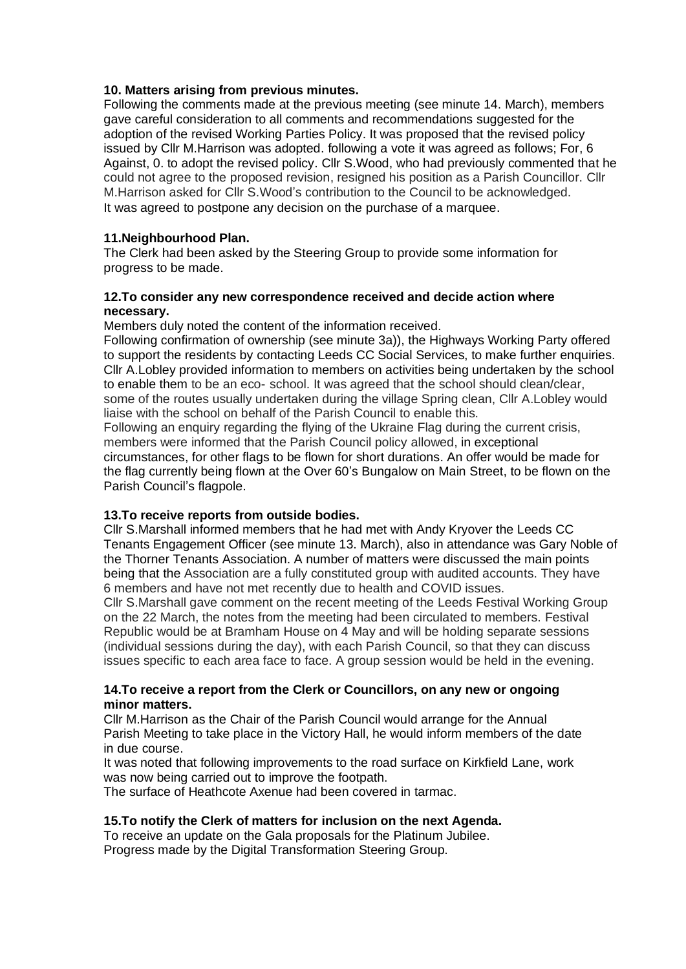## **10. Matters arising from previous minutes.**

Following the comments made at the previous meeting (see minute 14. March), members gave careful consideration to all comments and recommendations suggested for the adoption of the revised Working Parties Policy. It was proposed that the revised policy issued by Cllr M.Harrison was adopted. following a vote it was agreed as follows; For, 6 Against, 0. to adopt the revised policy. Cllr S.Wood, who had previously commented that he could not agree to the proposed revision, resigned his position as a Parish Councillor. Cllr M.Harrison asked for Cllr S.Wood's contribution to the Council to be acknowledged. It was agreed to postpone any decision on the purchase of a marquee.

# **11.Neighbourhood Plan.**

The Clerk had been asked by the Steering Group to provide some information for progress to be made.

## **12.To consider any new correspondence received and decide action where necessary.**

Members duly noted the content of the information received.

Following confirmation of ownership (see minute 3a)), the Highways Working Party offered to support the residents by contacting Leeds CC Social Services, to make further enquiries. Cllr A.Lobley provided information to members on activities being undertaken by the school to enable them to be an eco- school. It was agreed that the school should clean/clear, some of the routes usually undertaken during the village Spring clean, Cllr A.Lobley would liaise with the school on behalf of the Parish Council to enable this.

Following an enquiry regarding the flying of the Ukraine Flag during the current crisis, members were informed that the Parish Council policy allowed, in exceptional circumstances, for other flags to be flown for short durations. An offer would be made for the flag currently being flown at the Over 60's Bungalow on Main Street, to be flown on the Parish Council's flagpole.

# **13.To receive reports from outside bodies.**

Cllr S.Marshall informed members that he had met with Andy Kryover the Leeds CC Tenants Engagement Officer (see minute 13. March), also in attendance was Gary Noble of the Thorner Tenants Association. A number of matters were discussed the main points being that the Association are a fully constituted group with audited accounts. They have 6 members and have not met recently due to health and COVID issues.

Cllr S.Marshall gave comment on the recent meeting of the Leeds Festival Working Group on the 22 March, the notes from the meeting had been circulated to members. Festival Republic would be at Bramham House on 4 May and will be holding separate sessions (individual sessions during the day), with each Parish Council, so that they can discuss issues specific to each area face to face. A group session would be held in the evening.

## **14.To receive a report from the Clerk or Councillors, on any new or ongoing minor matters.**

Cllr M.Harrison as the Chair of the Parish Council would arrange for the Annual Parish Meeting to take place in the Victory Hall, he would inform members of the date in due course.

It was noted that following improvements to the road surface on Kirkfield Lane, work was now being carried out to improve the footpath.

The surface of Heathcote Axenue had been covered in tarmac.

# **15.To notify the Clerk of matters for inclusion on the next Agenda.**

To receive an update on the Gala proposals for the Platinum Jubilee. Progress made by the Digital Transformation Steering Group.